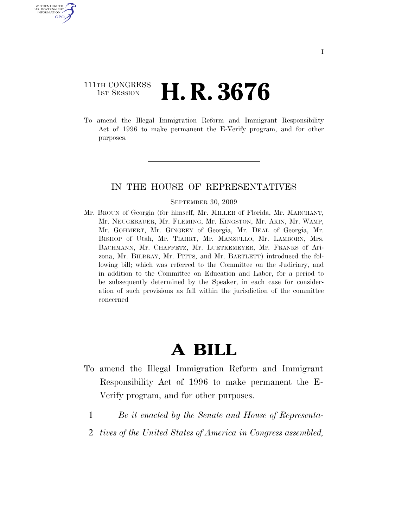## 111TH CONGRESS **1st Session H. R. 3676**

U.S. GOVERNMENT GPO

> To amend the Illegal Immigration Reform and Immigrant Responsibility Act of 1996 to make permanent the E-Verify program, and for other purposes.

### IN THE HOUSE OF REPRESENTATIVES

#### SEPTEMBER 30, 2009

Mr. BROUN of Georgia (for himself, Mr. MILLER of Florida, Mr. MARCHANT, Mr. NEUGEBAUER, Mr. FLEMING, Mr. KINGSTON, Mr. AKIN, Mr. WAMP, Mr. GOHMERT, Mr. GINGREY of Georgia, Mr. DEAL of Georgia, Mr. BISHOP of Utah, Mr. TIAHRT, Mr. MANZULLO, Mr. LAMBORN, Mrs. BACHMANN, Mr. CHAFFETZ, Mr. LUETKEMEYER, Mr. FRANKS of Arizona, Mr. BILBRAY, Mr. PITTS, and Mr. BARTLETT) introduced the following bill; which was referred to the Committee on the Judiciary, and in addition to the Committee on Education and Labor, for a period to be subsequently determined by the Speaker, in each case for consideration of such provisions as fall within the jurisdiction of the committee concerned

# **A BILL**

- To amend the Illegal Immigration Reform and Immigrant Responsibility Act of 1996 to make permanent the E-Verify program, and for other purposes.
	- 1 *Be it enacted by the Senate and House of Representa-*
	- 2 *tives of the United States of America in Congress assembled,*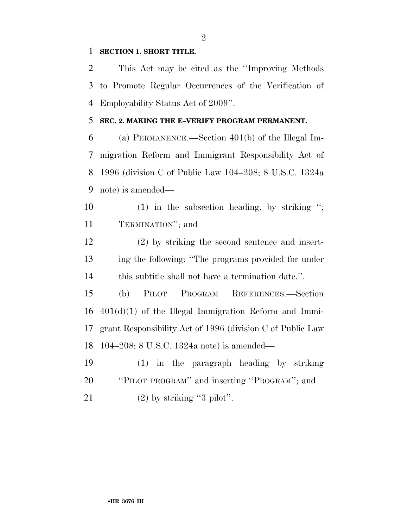### **SECTION 1. SHORT TITLE.**

 This Act may be cited as the ''Improving Methods to Promote Regular Occurrences of the Verification of Employability Status Act of 2009''.

### **SEC. 2. MAKING THE E–VERIFY PROGRAM PERMANENT.**

 (a) PERMANENCE.—Section 401(b) of the Illegal Im- migration Reform and Immigrant Responsibility Act of 1996 (division C of Public Law 104–208; 8 U.S.C. 1324a note) is amended—

 (1) in the subsection heading, by striking ''; TERMINATION''; and

 (2) by striking the second sentence and insert- ing the following: ''The programs provided for under this subtitle shall not have a termination date.''.

 (b) PILOT PROGRAM REFERENCES.—Section 401(d)(1) of the Illegal Immigration Reform and Immi- grant Responsibility Act of 1996 (division C of Public Law 104–208; 8 U.S.C. 1324a note) is amended—

 (1) in the paragraph heading by striking ''PILOT PROGRAM'' and inserting ''PROGRAM''; and 21  $(2)$  by striking "3 pilot".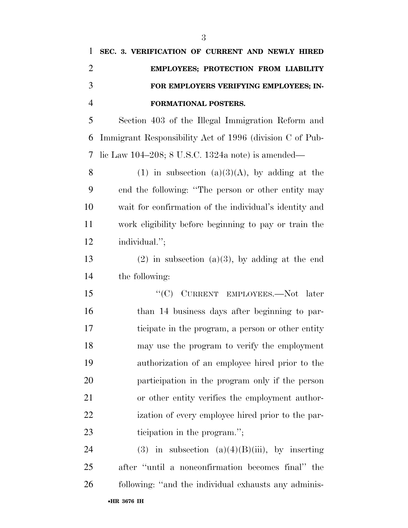| 1              | SEC. 3. VERIFICATION OF CURRENT AND NEWLY HIRED          |
|----------------|----------------------------------------------------------|
| 2              | EMPLOYEES; PROTECTION FROM LIABILITY                     |
| 3              | FOR EMPLOYERS VERIFYING EMPLOYEES; IN-                   |
| $\overline{4}$ | FORMATIONAL POSTERS.                                     |
| 5              | Section 403 of the Illegal Immigration Reform and        |
| 6              | Immigrant Responsibility Act of 1996 (division C of Pub- |
| $\tau$         | lic Law 104–208; 8 U.S.C. 1324a note) is amended—        |
| 8              | (1) in subsection (a)(3)(A), by adding at the            |
| 9              | end the following: "The person or other entity may       |
| 10             | wait for confirmation of the individual's identity and   |
| 11             | work eligibility before beginning to pay or train the    |
| 12             | individual.";                                            |
| $1^{\circ}$    |                                                          |

13 (2) in subsection (a)(3), by adding at the end the following:

15 "'(C) CURRENT EMPLOYEES.—Not later than 14 business days after beginning to par- ticipate in the program, a person or other entity may use the program to verify the employment authorization of an employee hired prior to the participation in the program only if the person or other entity verifies the employment author- ization of every employee hired prior to the par-23 ticipation in the program.";

24 (3) in subsection  $(a)(4)(B)(iii)$ , by inserting after ''until a nonconfirmation becomes final'' the following: ''and the individual exhausts any adminis-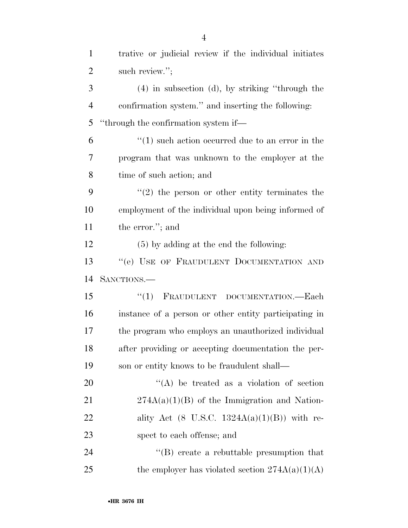| $\mathbf{1}$   | trative or judicial review if the individual initiates  |
|----------------|---------------------------------------------------------|
| $\overline{2}$ | such review.";                                          |
| 3              | $(4)$ in subsection $(d)$ , by striking "through the    |
| $\overline{4}$ | confirmation system." and inserting the following:      |
| 5              | "through the confirmation system if—                    |
| 6              | $\cdot$ (1) such action occurred due to an error in the |
| 7              | program that was unknown to the employer at the         |
| 8              | time of such action; and                                |
| 9              | $f'(2)$ the person or other entity terminates the       |
| 10             | employment of the individual upon being informed of     |
| 11             | the error."; and                                        |
| 12             | $(5)$ by adding at the end the following:               |
| 13             | "(e) USE OF FRAUDULENT DOCUMENTATION AND                |
| 14             | SANCTIONS.—                                             |
| 15             | FRAUDULENT DOCUMENTATION. Each<br>``(1)                 |
| 16             | instance of a person or other entity participating in   |
| 17             | the program who employs an unauthorized individual      |
| 18             | after providing or accepting documentation the per-     |
| 19             | son or entity knows to be fraudulent shall—             |
| 20             | $\lq\lq$ be treated as a violation of section           |
| 21             | $274A(a)(1)(B)$ of the Immigration and Nation-          |
| 22             | ality Act $(8$ U.S.C. $1324A(a)(1)(B)$ with re-         |
| 23             | spect to each offense; and                              |
| 24             | $\lq\lq (B)$ create a rebuttable presumption that       |
| 25             | the employer has violated section $274A(a)(1)(A)$       |